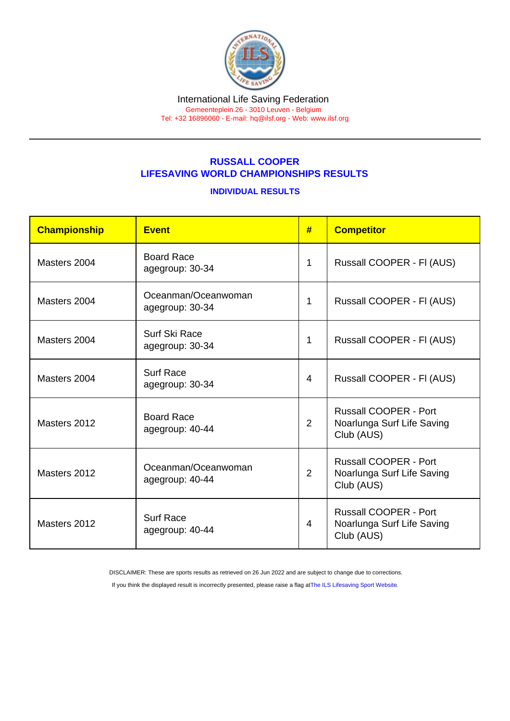## RUSSALL COOPER LIFESAVING WORLD CHAMPIONSHIPS RESULTS

## INDIVIDUAL RESULTS

| Championship | Event                                  | #              | <b>Competitor</b>                                                        |
|--------------|----------------------------------------|----------------|--------------------------------------------------------------------------|
| Masters 2004 | <b>Board Race</b><br>agegroup: 30-34   | 1              | Russall COOPER - FI (AUS)                                                |
| Masters 2004 | Oceanman/Oceanwoman<br>agegroup: 30-34 | 1              | Russall COOPER - FI (AUS)                                                |
| Masters 2004 | Surf Ski Race<br>agegroup: 30-34       | 1              | Russall COOPER - FI (AUS)                                                |
| Masters 2004 | <b>Surf Race</b><br>agegroup: 30-34    | 4              | Russall COOPER - FI (AUS)                                                |
| Masters 2012 | <b>Board Race</b><br>agegroup: 40-44   | $\overline{2}$ | <b>Russall COOPER - Port</b><br>Noarlunga Surf Life Saving<br>Club (AUS) |
| Masters 2012 | Oceanman/Oceanwoman<br>agegroup: 40-44 | $\overline{2}$ | <b>Russall COOPER - Port</b><br>Noarlunga Surf Life Saving<br>Club (AUS) |
| Masters 2012 | <b>Surf Race</b><br>agegroup: 40-44    | $\overline{4}$ | <b>Russall COOPER - Port</b><br>Noarlunga Surf Life Saving<br>Club (AUS) |

DISCLAIMER: These are sports results as retrieved on 26 Jun 2022 and are subject to change due to corrections.

If you think the displayed result is incorrectly presented, please raise a flag at [The ILS Lifesaving Sport Website.](https://sport.ilsf.org)